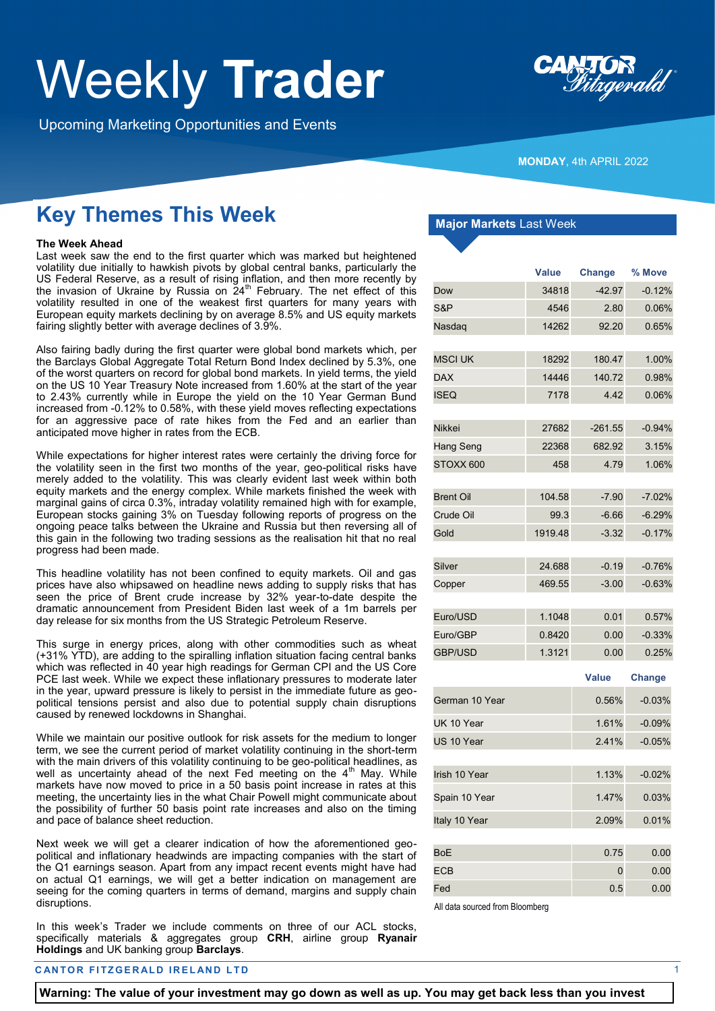## Weekly **Trader**

Upcoming Marketing Opportunities and Events



**MONDAY**, 4th APRIL 2022

## **Key Themes This Week**

#### **The Week Ahead**

Last week saw the end to the first quarter which was marked but heightened volatility due initially to hawkish pivots by global central banks, particularly the US Federal Reserve, as a result of rising inflation, and then more recently by the invasion of Ukraine by Russia on 24<sup>th</sup> February. The net effect of this volatility resulted in one of the weakest first quarters for many years with European equity markets declining by on average 8.5% and US equity markets fairing slightly better with average declines of 3.9%.

Also fairing badly during the first quarter were global bond markets which, per the Barclays Global Aggregate Total Return Bond Index declined by 5.3%, one of the worst quarters on record for global bond markets. In yield terms, the yield on the US 10 Year Treasury Note increased from 1.60% at the start of the year to 2.43% currently while in Europe the yield on the 10 Year German Bund increased from -0.12% to 0.58%, with these yield moves reflecting expectations for an aggressive pace of rate hikes from the Fed and an earlier than anticipated move higher in rates from the ECB.

While expectations for higher interest rates were certainly the driving force for the volatility seen in the first two months of the year, geo-political risks have merely added to the volatility. This was clearly evident last week within both equity markets and the energy complex. While markets finished the week with marginal gains of circa 0.3%, intraday volatility remained high with for example, European stocks gaining 3% on Tuesday following reports of progress on the ongoing peace talks between the Ukraine and Russia but then reversing all of this gain in the following two trading sessions as the realisation hit that no real progress had been made.

This headline volatility has not been confined to equity markets. Oil and gas prices have also whipsawed on headline news adding to supply risks that has seen the price of Brent crude increase by 32% year-to-date despite the dramatic announcement from President Biden last week of a 1m barrels per day release for six months from the US Strategic Petroleum Reserve.

This surge in energy prices, along with other commodities such as wheat (+31% YTD), are adding to the spiralling inflation situation facing central banks which was reflected in 40 year high readings for German CPI and the US Core PCE last week. While we expect these inflationary pressures to moderate later in the year, upward pressure is likely to persist in the immediate future as geopolitical tensions persist and also due to potential supply chain disruptions caused by renewed lockdowns in Shanghai.

While we maintain our positive outlook for risk assets for the medium to longer term, we see the current period of market volatility continuing in the short-term with the main drivers of this volatility continuing to be geo-political headlines, as well as uncertainty ahead of the next Fed meeting on the 4<sup>th</sup> May. While markets have now moved to price in a 50 basis point increase in rates at this meeting, the uncertainty lies in the what Chair Powell might communicate about the possibility of further 50 basis point rate increases and also on the timing and pace of balance sheet reduction.

Next week we will get a clearer indication of how the aforementioned geopolitical and inflationary headwinds are impacting companies with the start of the Q1 earnings season. Apart from any impact recent events might have had on actual Q1 earnings, we will get a better indication on management are seeing for the coming quarters in terms of demand, margins and supply chain disruptions.

In this week's Trader we include comments on three of our ACL stocks, specifically materials & aggregates group **CRH**, airline group **Ryanair Holdings** and UK banking group **Barclays**.

#### **CANTOR FITZGERALD IRELAND LTD**  $\frac{1}{2}$

**Major Markets** Last Week

|                  | Value   | <b>Change</b> | % Move   |
|------------------|---------|---------------|----------|
| Dow              | 34818   | $-42.97$      | $-0.12%$ |
| S&P              | 4546    | 2.80          | 0.06%    |
| Nasdaq           | 14262   | 92.20         | 0.65%    |
|                  |         |               |          |
| <b>MSCI UK</b>   | 18292   | 180.47        | 1.00%    |
| <b>DAX</b>       | 14446   | 140.72        | 0.98%    |
| <b>ISEQ</b>      | 7178    | 4.42          | 0.06%    |
|                  |         |               |          |
| Nikkei           | 27682   | $-261.55$     | $-0.94%$ |
| Hang Seng        | 22368   | 682.92        | 3.15%    |
| STOXX 600        | 458     | 4.79          | 1.06%    |
| <b>Brent Oil</b> | 104.58  | $-7.90$       | $-7.02%$ |
| Crude Oil        | 99.3    | $-6.66$       | $-6.29%$ |
| Gold             | 1919.48 | $-3.32$       | $-0.17%$ |
|                  |         |               |          |
| Silver           | 24.688  | $-0.19$       | $-0.76%$ |
| Copper           | 469.55  | $-3.00$       | $-0.63%$ |
|                  |         |               |          |
| Euro/USD         | 1.1048  | 0.01          | 0.57%    |
| Euro/GBP         | 0.8420  | 0.00          | $-0.33%$ |
| <b>GBP/USD</b>   | 1.3121  | 0.00          | 0.25%    |
|                  |         | Value         | Change   |
| German 10 Year   |         | 0.56%         | $-0.03%$ |
| UK 10 Year       |         | 1.61%         | $-0.09%$ |
| US 10 Year       |         | 2.41%         | $-0.05%$ |
|                  |         |               |          |
| Irish 10 Year    |         | 1.13%         | $-0.02%$ |
| Spain 10 Year    |         | 1.47%         | 0.03%    |
| Italy 10 Year    |         | 2.09%         | 0.01%    |
| <b>BoE</b>       |         | 0.75          | 0.00     |
| ECB              |         | 0             | 0.00     |
| Fed              |         | 0.5           | 0.00     |

All data sourced from Bloomberg

**Warning: The value of your investment may go down as well as up. You may get back less than you invest**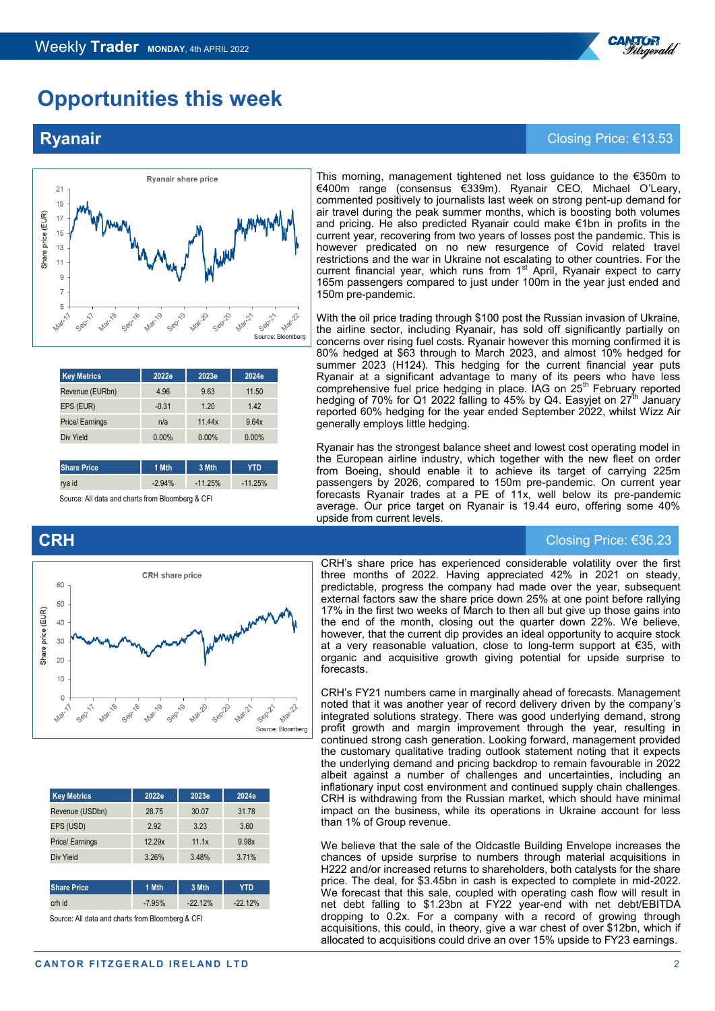## **Opportunities this week**

Ryanair share price

Sepila

Mar-21 Sept<sup>21</sup> Source: Bloomberg

**Mar** 20

Mar-22

**Key Metrics 2022e 2023e 2024e** Revenue (EURbn) 4.96 9.63 11.50 EPS (EUR) -0.31 1.20 1.42 Price/ Earnings **n/a** 11.44x 9.64x Div Yield 0.00% 0.00% 0.00% 0.00%

**Share Price 1 Mth 3 Mth YTD** rya id -2.94% -11.25% -11.25%

Source: All data and charts from Bloomberg & CF

#### **Rvanair** Closing Price: €13.53

 $21$ 19

Share price (EUR)

This morning, management tightened net loss guidance to the €350m to €400m range (consensus €339m). Ryanair CEO, Michael O'Leary, commented positively to journalists last week on strong pent-up demand for air travel during the peak summer months, which is boosting both volumes and pricing. He also predicted Ryanair could make €1bn in profits in the current year, recovering from two years of losses post the pandemic. This is however predicated on no new resurgence of Covid related travel restrictions and the war in Ukraine not escalating to other countries. For the current financial year, which runs from 1<sup>st</sup> April, Ryanair expect to carry 165m passengers compared to just under 100m in the year just ended and 150m pre-pandemic.

With the oil price trading through \$100 post the Russian invasion of Ukraine, the airline sector, including Ryanair, has sold off significantly partially on concerns over rising fuel costs. Ryanair however this morning confirmed it is 80% hedged at \$63 through to March 2023, and almost 10% hedged for summer 2023 (H124). This hedging for the current financial year puts Ryanair at a significant advantage to many of its peers who have less  $comp$ rehensive fuel price hedging in place. IAG on  $25<sup>th</sup>$  February reported hedging of 70% for Q1 2022 falling to 45% by Q4. Easyjet on 27<sup>th</sup> January reported 60% hedging for the year ended September 2022, whilst Wizz Air generally employs little hedging.

Ryanair has the strongest balance sheet and lowest cost operating model in the European airline industry, which together with the new fleet on order from Boeing, should enable it to achieve its target of carrying 225m passengers by 2026, compared to 150m pre-pandemic. On current year forecasts Ryanair trades at a PE of 11x, well below its pre-pandemic average. Our price target on Ryanair is 19.44 euro, offering some 40% upside from current levels.

#### **CRH** Closing Price: €36.23

CRH's share price has experienced considerable volatility over the first three months of 2022. Having appreciated 42% in 2021 on steady, predictable, progress the company had made over the year, subsequent external factors saw the share price down 25% at one point before rallying 17% in the first two weeks of March to then all but give up those gains into the end of the month, closing out the quarter down 22%. We believe, however, that the current dip provides an ideal opportunity to acquire stock at a very reasonable valuation, close to long-term support at €35, with organic and acquisitive growth giving potential for upside surprise to forecasts.

CRH's FY21 numbers came in marginally ahead of forecasts. Management noted that it was another year of record delivery driven by the company's integrated solutions strategy. There was good underlying demand, strong profit growth and margin improvement through the year, resulting in continued strong cash generation. Looking forward, management provided the customary qualitative trading outlook statement noting that it expects the underlying demand and pricing backdrop to remain favourable in 2022 albeit against a number of challenges and uncertainties, including an inflationary input cost environment and continued supply chain challenges. CRH is withdrawing from the Russian market, which should have minimal impact on the business, while its operations in Ukraine account for less than 1% of Group revenue.

We believe that the sale of the Oldcastle Building Envelope increases the chances of upside surprise to numbers through material acquisitions in H222 and/or increased returns to shareholders, both catalysts for the share price. The deal, for \$3.45bn in cash is expected to complete in mid-2022. We forecast that this sale, coupled with operating cash flow will result in net debt falling to \$1.23bn at FY22 year-end with net debt/EBITDA dropping to 0.2x. For a company with a record of growing through acquisitions, this could, in theory, give a war chest of over \$12bn, which if allocated to acquisitions could drive an over 15% upside to FY23 earnings.





| <b>Key Metrics</b>    | 2022e    | 2023e     | 2024e      |  |
|-----------------------|----------|-----------|------------|--|
| Revenue (USDbn)       | 28.75    | 30.07     | 31.78      |  |
| EPS (USD)             | 2.92     | 3.23      | 3.60       |  |
| <b>Price/Earnings</b> | 12.29x   | 11.1x     | 9.98x      |  |
| Div Yield             | 3.26%    | 3.48%     | 3.71%      |  |
|                       |          |           |            |  |
| <b>Share Price</b>    | 1 Mth    | 3 Mth     | <b>YTD</b> |  |
| crh id                | $-7.95%$ | $-22.12%$ | $-22.12%$  |  |

Source: All data and charts from Bloomberg & CFI

**CANTOR FITZGERALD IRELAND LTD** 2

®<sup>R</sup>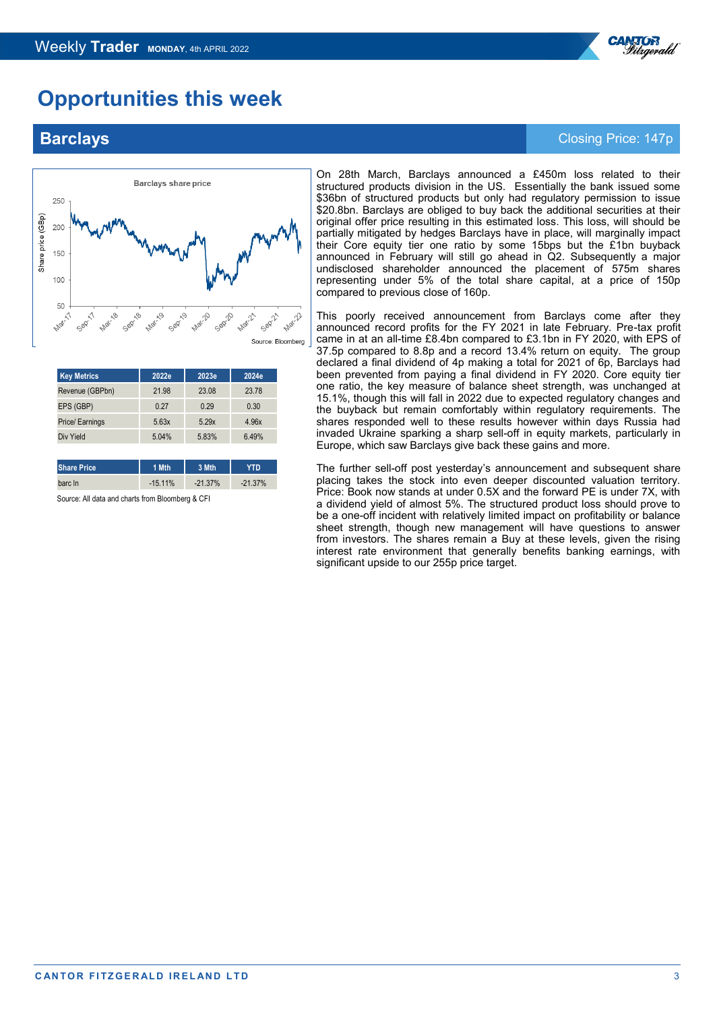

## **Opportunities this week**



| <b>Key Metrics</b> | 2022e | 2023e | 2024e |
|--------------------|-------|-------|-------|
| Revenue (GBPbn)    | 21.98 | 23.08 | 23.78 |
| EPS (GBP)          | 0.27  | 0.29  | 0.30  |
| Price/ Earnings    | 5.63x | 5.29x | 4.96x |
| Div Yield          | 5.04% | 5.83% | 6.49% |
|                    |       |       |       |

**Share Price 1 Mth 3 Mth YTD** barc ln -15.11% -21.37% -21.37%

Source: All data and charts from Bloomberg & CFI

On 28th March, Barclays announced a £450m loss related to their structured products division in the US. Essentially the bank issued some \$36bn of structured products but only had regulatory permission to issue \$20.8bn. Barclays are obliged to buy back the additional securities at their original offer price resulting in this estimated loss. This loss, will should be partially mitigated by hedges Barclays have in place, will marginally impact their Core equity tier one ratio by some 15bps but the £1bn buyback announced in February will still go ahead in Q2. Subsequently a major undisclosed shareholder announced the placement of 575m shares representing under 5% of the total share capital, at a price of 150p compared to previous close of 160p.

This poorly received announcement from Barclays come after they announced record profits for the FY 2021 in late February. Pre-tax profit came in at an all-time £8.4bn compared to £3.1bn in FY 2020, with EPS of 37.5p compared to 8.8p and a record 13.4% return on equity. The group declared a final dividend of 4p making a total for 2021 of 6p, Barclays had been prevented from paying a final dividend in FY 2020. Core equity tier one ratio, the key measure of balance sheet strength, was unchanged at 15.1%, though this will fall in 2022 due to expected regulatory changes and the buyback but remain comfortably within regulatory requirements. The shares responded well to these results however within days Russia had invaded Ukraine sparking a sharp sell-off in equity markets, particularly in Europe, which saw Barclays give back these gains and more.

The further sell-off post yesterday's announcement and subsequent share placing takes the stock into even deeper discounted valuation territory. Price: Book now stands at under 0.5X and the forward PE is under 7X, with a dividend yield of almost 5%. The structured product loss should prove to be a one-off incident with relatively limited impact on profitability or balance sheet strength, though new management will have questions to answer from investors. The shares remain a Buy at these levels, given the rising interest rate environment that generally benefits banking earnings, with significant upside to our 255p price target.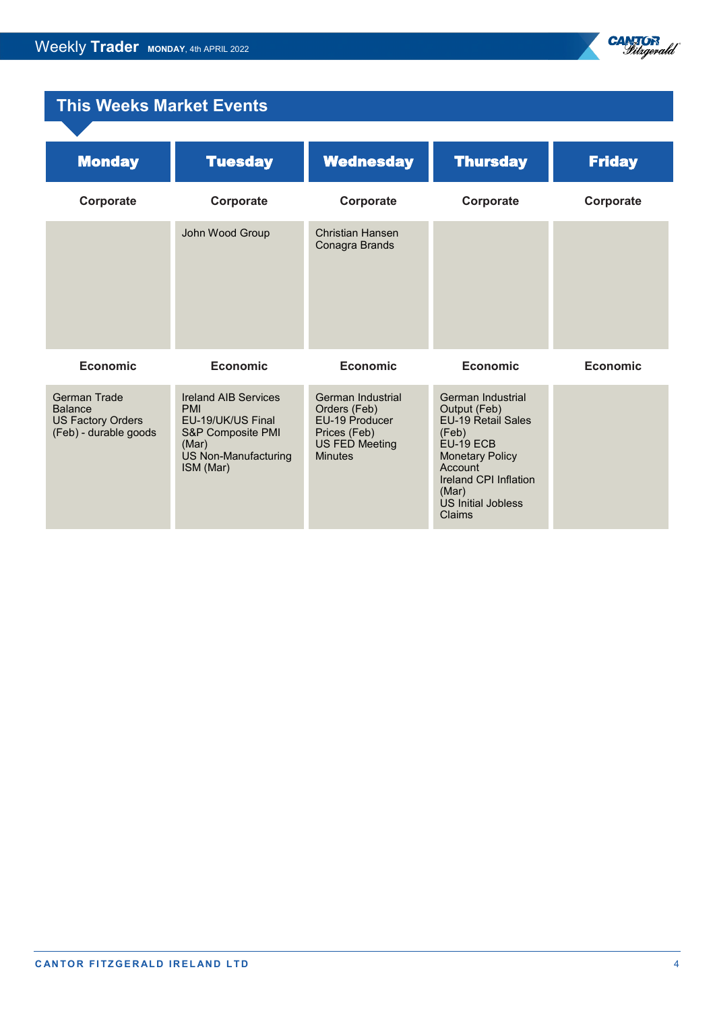

## **This Weeks Market Events**

| <b>Monday</b>                                                                              | <b>Tuesday</b>                                                                                                                    | <b>Wednesday</b>                                                                                               | <b>Thursday</b>                                                                                                                                                                                           | <b>Friday</b> |
|--------------------------------------------------------------------------------------------|-----------------------------------------------------------------------------------------------------------------------------------|----------------------------------------------------------------------------------------------------------------|-----------------------------------------------------------------------------------------------------------------------------------------------------------------------------------------------------------|---------------|
| Corporate                                                                                  | Corporate                                                                                                                         | Corporate                                                                                                      | Corporate                                                                                                                                                                                                 | Corporate     |
|                                                                                            | John Wood Group                                                                                                                   | Christian Hansen<br>Conagra Brands                                                                             |                                                                                                                                                                                                           |               |
| Economic                                                                                   | Economic                                                                                                                          | Economic                                                                                                       | Economic                                                                                                                                                                                                  | Economic      |
| <b>German Trade</b><br><b>Balance</b><br><b>US Factory Orders</b><br>(Feb) - durable goods | <b>Ireland AIB Services</b><br><b>PMI</b><br>EU-19/UK/US Final<br>S&P Composite PMI<br>(Mar)<br>US Non-Manufacturing<br>ISM (Mar) | German Industrial<br>Orders (Feb)<br>EU-19 Producer<br>Prices (Feb)<br><b>US FED Meeting</b><br><b>Minutes</b> | German Industrial<br>Output (Feb)<br><b>EU-19 Retail Sales</b><br>(Feb)<br>EU-19 ECB<br><b>Monetary Policy</b><br>Account<br><b>Ireland CPI Inflation</b><br>(Mar)<br><b>US Initial Jobless</b><br>Claims |               |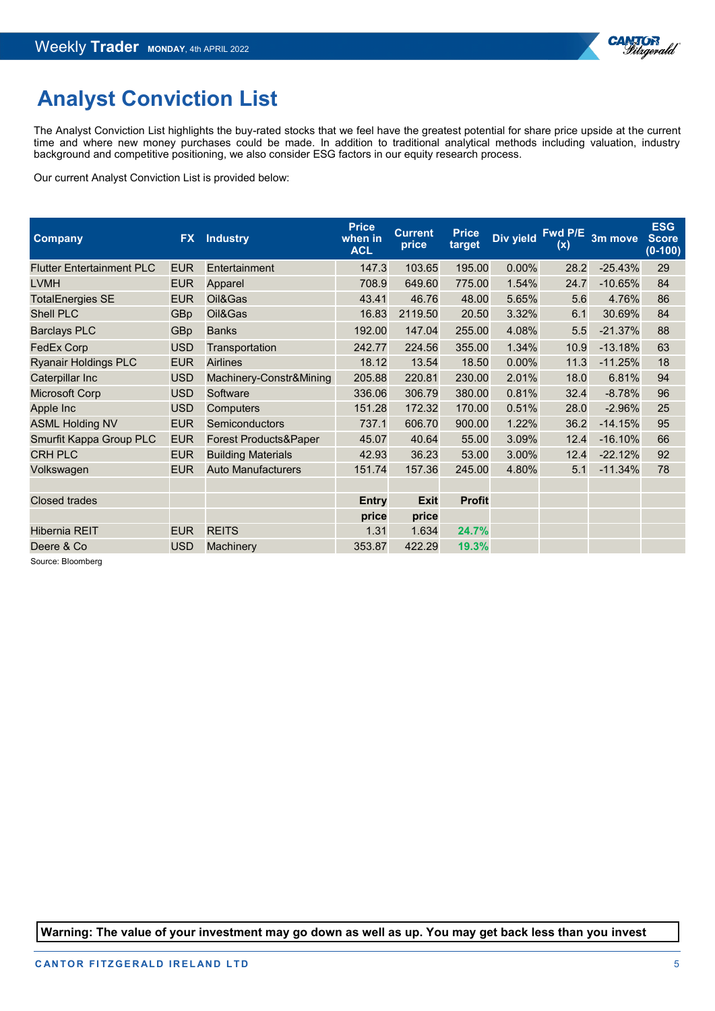

## **Analyst Conviction List**

The Analyst Conviction List highlights the buy-rated stocks that we feel have the greatest potential for share price upside at the current time and where new money purchases could be made. In addition to traditional analytical methods including valuation, industry background and competitive positioning, we also consider ESG factors in our equity research process.

Our current Analyst Conviction List is provided below:

| <b>Company</b>                   | <b>FX</b>  | <b>Industry</b>           | <b>Price</b><br>when in<br><b>ACL</b> | <b>Current</b><br>price | <b>Price</b><br>target | Div yield | Fwd P/E<br>(x) | 3m move   | <b>ESG</b><br><b>Score</b><br>$(0-100)$ |
|----------------------------------|------------|---------------------------|---------------------------------------|-------------------------|------------------------|-----------|----------------|-----------|-----------------------------------------|
| <b>Flutter Entertainment PLC</b> | <b>EUR</b> | Entertainment             | 147.3                                 | 103.65                  | 195.00                 | 0.00%     | 28.2           | $-25.43%$ | 29                                      |
| <b>LVMH</b>                      | <b>EUR</b> | Apparel                   | 708.9                                 | 649.60                  | 775.00                 | 1.54%     | 24.7           | $-10.65%$ | 84                                      |
| <b>TotalEnergies SE</b>          | <b>EUR</b> | Oil&Gas                   | 43.41                                 | 46.76                   | 48.00                  | 5.65%     | 5.6            | 4.76%     | 86                                      |
| <b>Shell PLC</b>                 | <b>GBp</b> | Oil&Gas                   | 16.83                                 | 2119.50                 | 20.50                  | 3.32%     | 6.1            | 30.69%    | 84                                      |
| <b>Barclays PLC</b>              | <b>GBp</b> | <b>Banks</b>              | 192.00                                | 147.04                  | 255.00                 | 4.08%     | 5.5            | $-21.37%$ | 88                                      |
| <b>FedEx Corp</b>                | <b>USD</b> | Transportation            | 242.77                                | 224.56                  | 355.00                 | 1.34%     | 10.9           | $-13.18%$ | 63                                      |
| <b>Ryanair Holdings PLC</b>      | <b>EUR</b> | <b>Airlines</b>           | 18.12                                 | 13.54                   | 18.50                  | 0.00%     | 11.3           | $-11.25%$ | 18                                      |
| Caterpillar Inc                  | <b>USD</b> | Machinery-Constr&Mining   | 205.88                                | 220.81                  | 230.00                 | 2.01%     | 18.0           | 6.81%     | 94                                      |
| Microsoft Corp                   | <b>USD</b> | Software                  | 336.06                                | 306.79                  | 380.00                 | 0.81%     | 32.4           | $-8.78%$  | 96                                      |
| Apple Inc                        | <b>USD</b> | <b>Computers</b>          | 151.28                                | 172.32                  | 170.00                 | 0.51%     | 28.0           | $-2.96%$  | 25                                      |
| <b>ASML Holding NV</b>           | <b>EUR</b> | <b>Semiconductors</b>     | 737.1                                 | 606.70                  | 900.00                 | 1.22%     | 36.2           | $-14.15%$ | 95                                      |
| Smurfit Kappa Group PLC          | <b>EUR</b> | Forest Products&Paper     | 45.07                                 | 40.64                   | 55.00                  | 3.09%     | 12.4           | $-16.10%$ | 66                                      |
| <b>CRH PLC</b>                   | <b>EUR</b> | <b>Building Materials</b> | 42.93                                 | 36.23                   | 53.00                  | 3.00%     | 12.4           | $-22.12%$ | 92                                      |
| Volkswagen                       | <b>EUR</b> | <b>Auto Manufacturers</b> | 151.74                                | 157.36                  | 245.00                 | 4.80%     | 5.1            | $-11.34%$ | 78                                      |
|                                  |            |                           |                                       |                         |                        |           |                |           |                                         |
| <b>Closed trades</b>             |            |                           | <b>Entry</b>                          | <b>Exit</b>             | <b>Profit</b>          |           |                |           |                                         |
|                                  |            |                           | price                                 | price                   |                        |           |                |           |                                         |
| <b>Hibernia REIT</b>             | <b>EUR</b> | <b>REITS</b>              | 1.31                                  | 1.634                   | 24.7%                  |           |                |           |                                         |
| Deere & Co                       | <b>USD</b> | Machinery                 | 353.87                                | 422.29                  | 19.3%                  |           |                |           |                                         |

Source: Bloomberg

**Warning: The value of your investment may go down as well as up. You may get back less than you invest**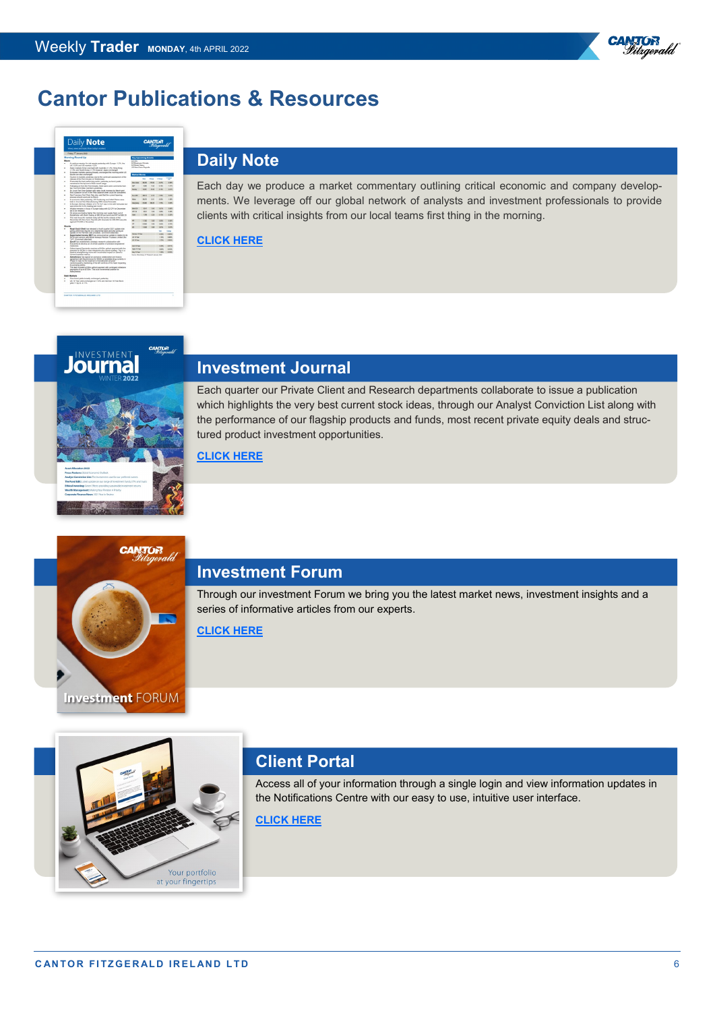



## **[D](https://cantorfitzgerald.ie/research/daily-note/)aily Note**

Each day we produce a market commentary outlining critical economic and company developments. We leverage off our global network of analysts and investment professionals to provide clients with critical insights from our local teams first thing in the morning.

#### **[CLICK HERE](https://cantorfitzgerald.ie/research/daily-note/)**

**CANTOR** 



## **Investment Journal**

Each quarter our Private Client and Research departments collaborate to issue a publication which highlights the very best current stock ideas, through our Analyst Conviction List along with the performance of our flagship products and funds, most recent private equity deals and structured product investment opportunities.

#### **[CLICK HERE](https://cantorfitzgerald.ie/wp-content/uploads/2022/01/Journal-Winter-1-22-LR.pdf)**



### **Investment Forum**

Through our investment Forum we bring you the latest market news, investment insights and a series of informative articles from our experts.

**[CLICK HERE](https://cantorfitzgerald.ie/category/investment-forum/)**

# Your portfolio at your fingertips

## **Client Portal**

Access all of your information through a single login and view information updates in the Notifications Centre with our easy to use, intuitive user interface.

#### **[CLICK HERE](https://cantorfitzgerald.ie/cantorportal/)**

®<sup>R</sup>

Vitrgerald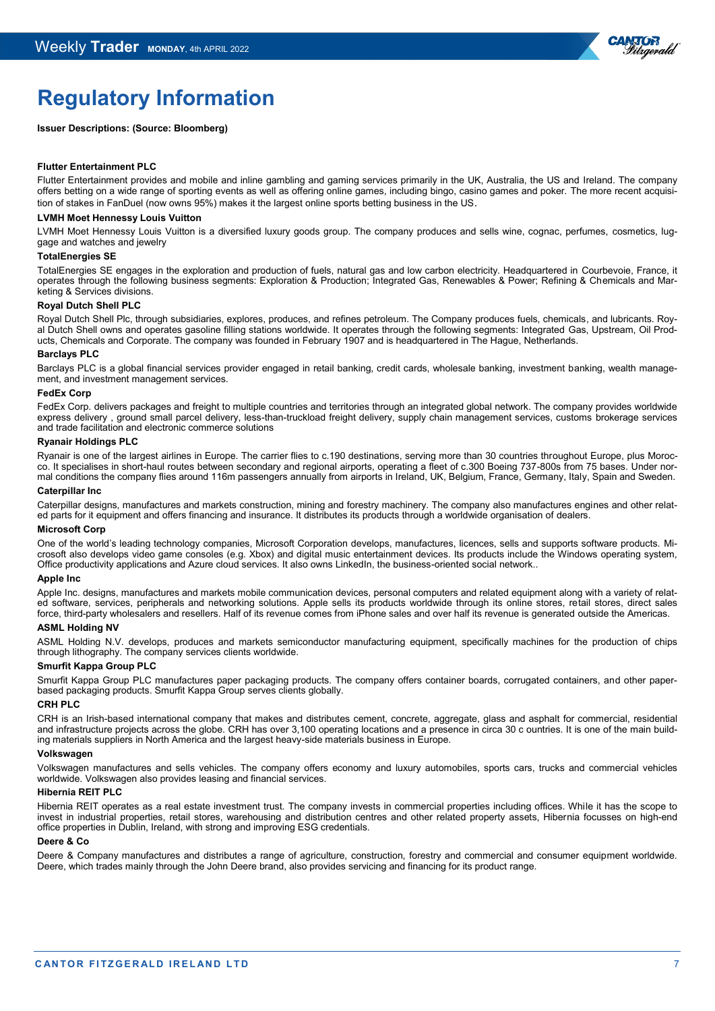

## **Regulatory Information**

#### **Issuer Descriptions: (Source: Bloomberg)**

#### **Flutter Entertainment PLC**

Flutter Entertainment provides and mobile and inline gambling and gaming services primarily in the UK, Australia, the US and Ireland. The company offers betting on a wide range of sporting events as well as offering online games, including bingo, casino games and poker. The more recent acquisition of stakes in FanDuel (now owns 95%) makes it the largest online sports betting business in the US.

#### **LVMH Moet Hennessy Louis Vuitton**

LVMH Moet Hennessy Louis Vuitton is a diversified luxury goods group. The company produces and sells wine, cognac, perfumes, cosmetics, luggage and watches and jewelry

#### **TotalEnergies SE**

TotalEnergies SE engages in the exploration and production of fuels, natural gas and low carbon electricity. Headquartered in Courbevoie, France, it operates through the following business segments: Exploration & Production; Integrated Gas, Renewables & Power; Refining & Chemicals and Marketing & Services divisions.

#### **Royal Dutch Shell PLC**

Royal Dutch Shell Plc, through subsidiaries, explores, produces, and refines petroleum. The Company produces fuels, chemicals, and lubricants. Royal Dutch Shell owns and operates gasoline filling stations worldwide. It operates through the following segments: Integrated Gas, Upstream, Oil Products, Chemicals and Corporate. The company was founded in February 1907 and is headquartered in The Hague, Netherlands.

#### **Barclays PLC**

Barclays PLC is a global financial services provider engaged in retail banking, credit cards, wholesale banking, investment banking, wealth management, and investment management services.

#### **FedEx Corp**

FedEx Corp. delivers packages and freight to multiple countries and territories through an integrated global network. The company provides worldwide express delivery , ground small parcel delivery, less-than-truckload freight delivery, supply chain management services, customs brokerage services and trade facilitation and electronic commerce solutions

#### **Ryanair Holdings PLC**

Ryanair is one of the largest airlines in Europe. The carrier flies to c.190 destinations, serving more than 30 countries throughout Europe, plus Morocco. It specialises in short-haul routes between secondary and regional airports, operating a fleet of c.300 Boeing 737-800s from 75 bases. Under normal conditions the company flies around 116m passengers annually from airports in Ireland, UK, Belgium, France, Germany, Italy, Spain and Sweden.

#### **Caterpillar Inc**

Caterpillar designs, manufactures and markets construction, mining and forestry machinery. The company also manufactures engines and other related parts for it equipment and offers financing and insurance. It distributes its products through a worldwide organisation of dealers.

#### **Microsoft Corp**

One of the world's leading technology companies, Microsoft Corporation develops, manufactures, licences, sells and supports software products. Microsoft also develops video game consoles (e.g. Xbox) and digital music entertainment devices. Its products include the Windows operating system, Office productivity applications and Azure cloud services. It also owns LinkedIn, the business-oriented social network..

#### **Apple Inc**

Apple Inc. designs, manufactures and markets mobile communication devices, personal computers and related equipment along with a variety of related software, services, peripherals and networking solutions. Apple sells its products worldwide through its online stores, retail stores, direct sales force, third-party wholesalers and resellers. Half of its revenue comes from iPhone sales and over half its revenue is generated outside the Americas.

#### **ASML Holding NV**

ASML Holding N.V. develops, produces and markets semiconductor manufacturing equipment, specifically machines for the production of chips through lithography. The company services clients worldwide.

#### **Smurfit Kappa Group PLC**

Smurfit Kappa Group PLC manufactures paper packaging products. The company offers container boards, corrugated containers, and other paperbased packaging products. Smurfit Kappa Group serves clients globally.

#### **CRH PLC**

CRH is an Irish-based international company that makes and distributes cement, concrete, aggregate, glass and asphalt for commercial, residential and infrastructure projects across the globe. CRH has over 3,100 operating locations and a presence in circa 30 c ountries. It is one of the main building materials suppliers in North America and the largest heavy-side materials business in Europe.

#### **Volkswagen**

Volkswagen manufactures and sells vehicles. The company offers economy and luxury automobiles, sports cars, trucks and commercial vehicles worldwide. Volkswagen also provides leasing and financial services.

#### **Hibernia REIT PLC**

Hibernia REIT operates as a real estate investment trust. The company invests in commercial properties including offices. While it has the scope to invest in industrial properties, retail stores, warehousing and distribution centres and other related property assets, Hibernia focusses on high-end office properties in Dublin, Ireland, with strong and improving ESG credentials.

#### **Deere & Co**

Deere & Company manufactures and distributes a range of agriculture, construction, forestry and commercial and consumer equipment worldwide. Deere, which trades mainly through the John Deere brand, also provides servicing and financing for its product range.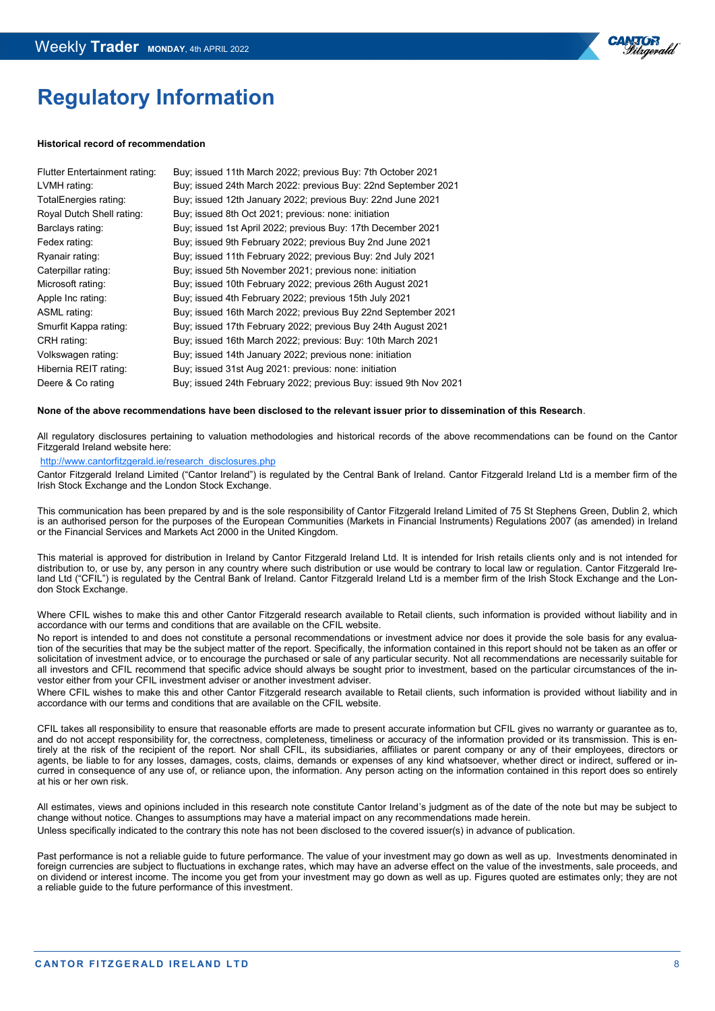

## **Regulatory Information**

#### **Historical record of recommendation**

| Flutter Entertainment rating: | Buy; issued 11th March 2022; previous Buy: 7th October 2021       |
|-------------------------------|-------------------------------------------------------------------|
| LVMH rating:                  | Buy; issued 24th March 2022: previous Buy: 22nd September 2021    |
| TotalEnergies rating:         | Buy; issued 12th January 2022; previous Buy: 22nd June 2021       |
| Royal Dutch Shell rating:     | Buy; issued 8th Oct 2021; previous: none: initiation              |
| Barclays rating:              | Buy; issued 1st April 2022; previous Buy: 17th December 2021      |
| Fedex rating:                 | Buy; issued 9th February 2022; previous Buy 2nd June 2021         |
| Ryanair rating:               | Buy; issued 11th February 2022; previous Buy: 2nd July 2021       |
| Caterpillar rating:           | Buy; issued 5th November 2021; previous none: initiation          |
| Microsoft rating:             | Buy; issued 10th February 2022; previous 26th August 2021         |
| Apple Inc rating:             | Buy; issued 4th February 2022; previous 15th July 2021            |
| ASML rating:                  | Buy; issued 16th March 2022; previous Buy 22nd September 2021     |
| Smurfit Kappa rating:         | Buy; issued 17th February 2022; previous Buy 24th August 2021     |
| CRH rating:                   | Buy; issued 16th March 2022; previous: Buy: 10th March 2021       |
| Volkswagen rating:            | Buy; issued 14th January 2022; previous none: initiation          |
| Hibernia REIT rating:         | Buy; issued 31st Aug 2021: previous: none: initiation             |
| Deere & Co rating             | Buy; issued 24th February 2022; previous Buy: issued 9th Nov 2021 |

#### **None of the above recommendations have been disclosed to the relevant issuer prior to dissemination of this Research**.

All regulatory disclosures pertaining to valuation methodologies and historical records of the above recommendations can be found on the Cantor Fitzgerald Ireland website here:

#### [http://www.cantorfitzgerald.ie/research\\_disclosures.php](http://www.cantorfitzgerald.ie/research_disclosures.php)

Cantor Fitzgerald Ireland Limited ("Cantor Ireland") is regulated by the Central Bank of Ireland. Cantor Fitzgerald Ireland Ltd is a member firm of the Irish Stock Exchange and the London Stock Exchange.

This communication has been prepared by and is the sole responsibility of Cantor Fitzgerald Ireland Limited of 75 St Stephens Green, Dublin 2, which is an authorised person for the purposes of the European Communities (Markets in Financial Instruments) Regulations 2007 (as amended) in Ireland or the Financial Services and Markets Act 2000 in the United Kingdom.

This material is approved for distribution in Ireland by Cantor Fitzgerald Ireland Ltd. It is intended for Irish retails clients only and is not intended for distribution to, or use by, any person in any country where such distribution or use would be contrary to local law or regulation. Cantor Fitzgerald Ireland Ltd ("CFIL") is regulated by the Central Bank of Ireland. Cantor Fitzgerald Ireland Ltd is a member firm of the Irish Stock Exchange and the London Stock Exchange.

Where CFIL wishes to make this and other Cantor Fitzgerald research available to Retail clients, such information is provided without liability and in accordance with our terms and conditions that are available on the CFIL website.

No report is intended to and does not constitute a personal recommendations or investment advice nor does it provide the sole basis for any evaluation of the securities that may be the subject matter of the report. Specifically, the information contained in this report should not be taken as an offer or solicitation of investment advice, or to encourage the purchased or sale of any particular security. Not all recommendations are necessarily suitable for all investors and CFIL recommend that specific advice should always be sought prior to investment, based on the particular circumstances of the investor either from your CFIL investment adviser or another investment adviser.

Where CFIL wishes to make this and other Cantor Fitzgerald research available to Retail clients, such information is provided without liability and in accordance with our terms and conditions that are available on the CFIL website.

CFIL takes all responsibility to ensure that reasonable efforts are made to present accurate information but CFIL gives no warranty or guarantee as to, and do not accept responsibility for, the correctness, completeness, timeliness or accuracy of the information provided or its transmission. This is entirely at the risk of the recipient of the report. Nor shall CFIL, its subsidiaries, affiliates or parent company or any of their employees, directors or agents, be liable to for any losses, damages, costs, claims, demands or expenses of any kind whatsoever, whether direct or indirect, suffered or incurred in consequence of any use of, or reliance upon, the information. Any person acting on the information contained in this report does so entirely at his or her own risk.

All estimates, views and opinions included in this research note constitute Cantor Ireland's judgment as of the date of the note but may be subject to change without notice. Changes to assumptions may have a material impact on any recommendations made herein. Unless specifically indicated to the contrary this note has not been disclosed to the covered issuer(s) in advance of publication.

Past performance is not a reliable guide to future performance. The value of your investment may go down as well as up. Investments denominated in foreign currencies are subject to fluctuations in exchange rates, which may have an adverse effect on the value of the investments, sale proceeds, and on dividend or interest income. The income you get from your investment may go down as well as up. Figures quoted are estimates only; they are not a reliable guide to the future performance of this investment.